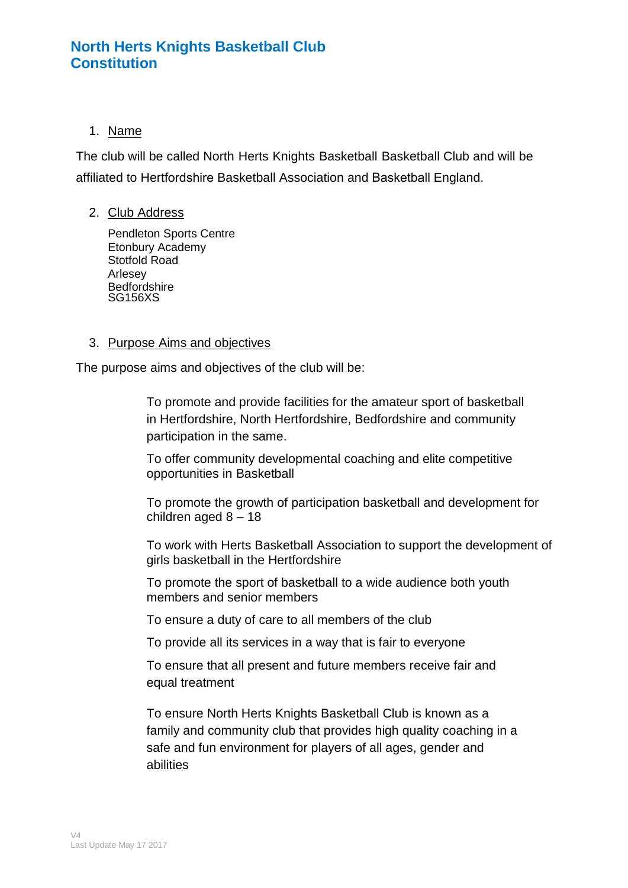## 1. Name

The club will be called North Herts Knights Basketball Basketball Club and will be affiliated to Hertfordshire Basketball Association and Basketball England.

#### 2. Club Address

Pendleton Sports Centre Etonbury Academy Stotfold Road Arlesey **Bedfordshire** SG156XS

#### 3. Purpose Aims and objectives

The purpose aims and objectives of the club will be:

To promote and provide facilities for the amateur sport of basketball in Hertfordshire, North Hertfordshire, Bedfordshire and community participation in the same.

To offer community developmental coaching and elite competitive opportunities in Basketball

To promote the growth of participation basketball and development for children aged 8 – 18

To work with Herts Basketball Association to support the development of girls basketball in the Hertfordshire

To promote the sport of basketball to a wide audience both youth members and senior members

To ensure a duty of care to all members of the club

To provide all its services in a way that is fair to everyone

To ensure that all present and future members receive fair and equal treatment

To ensure North Herts Knights Basketball Club is known as a family and community club that provides high quality coaching in a safe and fun environment for players of all ages, gender and abilities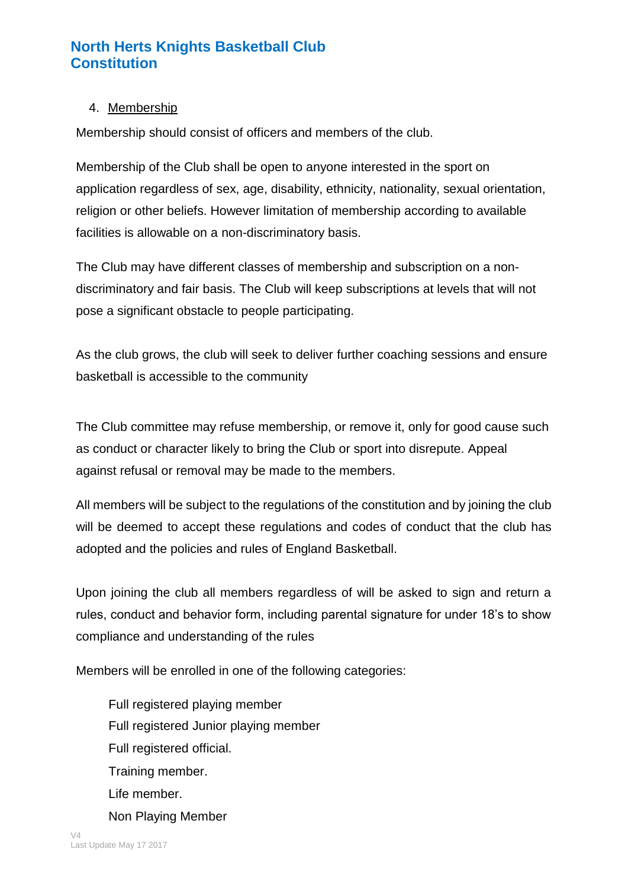## 4. Membership

Membership should consist of officers and members of the club.

Membership of the Club shall be open to anyone interested in the sport on application regardless of sex, age, disability, ethnicity, nationality, sexual orientation, religion or other beliefs. However limitation of membership according to available facilities is allowable on a non-discriminatory basis.

The Club may have different classes of membership and subscription on a nondiscriminatory and fair basis. The Club will keep subscriptions at levels that will not pose a significant obstacle to people participating.

As the club grows, the club will seek to deliver further coaching sessions and ensure basketball is accessible to the community

The Club committee may refuse membership, or remove it, only for good cause such as conduct or character likely to bring the Club or sport into disrepute. Appeal against refusal or removal may be made to the members.

All members will be subject to the regulations of the constitution and by joining the club will be deemed to accept these regulations and codes of conduct that the club has adopted and the policies and rules of England Basketball.

Upon joining the club all members regardless of will be asked to sign and return a rules, conduct and behavior form, including parental signature for under 18's to show compliance and understanding of the rules

Members will be enrolled in one of the following categories:

Full registered playing member Full registered Junior playing member Full registered official. Training member. Life member. Non Playing Member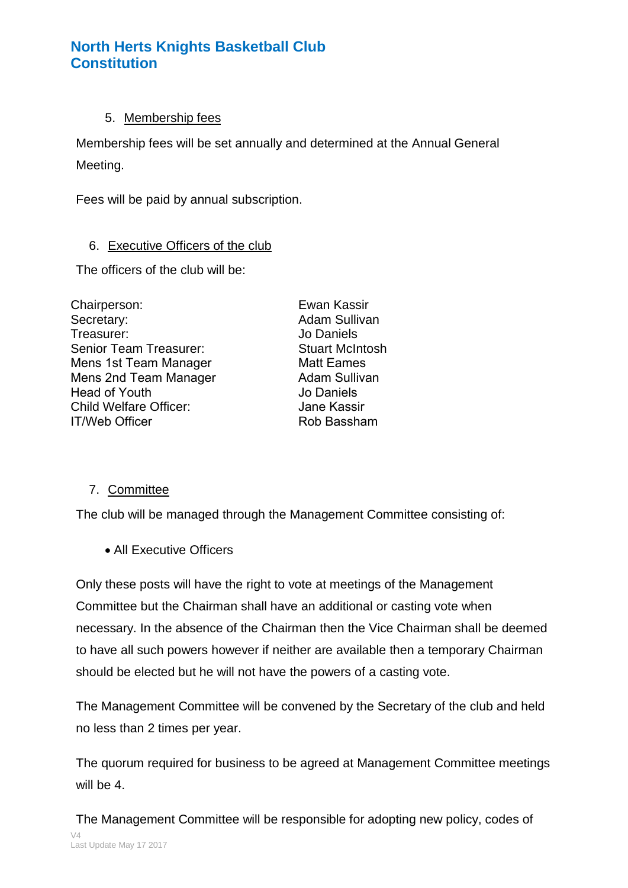### 5. Membership fees

Membership fees will be set annually and determined at the Annual General Meeting.

Fees will be paid by annual subscription.

### 6. Executive Officers of the club

The officers of the club will be:

Chairperson: Secretary: Treasurer: Senior Team Treasurer: Mens 1st Team Manager Mens 2nd Team Manager Head of Youth Child Welfare Officer: IT/Web Officer

Ewan Kassir Adam Sullivan Jo Daniels Stuart McIntosh Matt Eames Adam Sullivan Jo Daniels Jane Kassir Rob Bassham

## 7. Committee

The club will be managed through the Management Committee consisting of:

• All Executive Officers

Only these posts will have the right to vote at meetings of the Management Committee but the Chairman shall have an additional or casting vote when necessary. In the absence of the Chairman then the Vice Chairman shall be deemed to have all such powers however if neither are available then a temporary Chairman should be elected but he will not have the powers of a casting vote.

The Management Committee will be convened by the Secretary of the club and held no less than 2 times per year.

The quorum required for business to be agreed at Management Committee meetings will be 4.

V4 Last Update May 17 2017 The Management Committee will be responsible for adopting new policy, codes of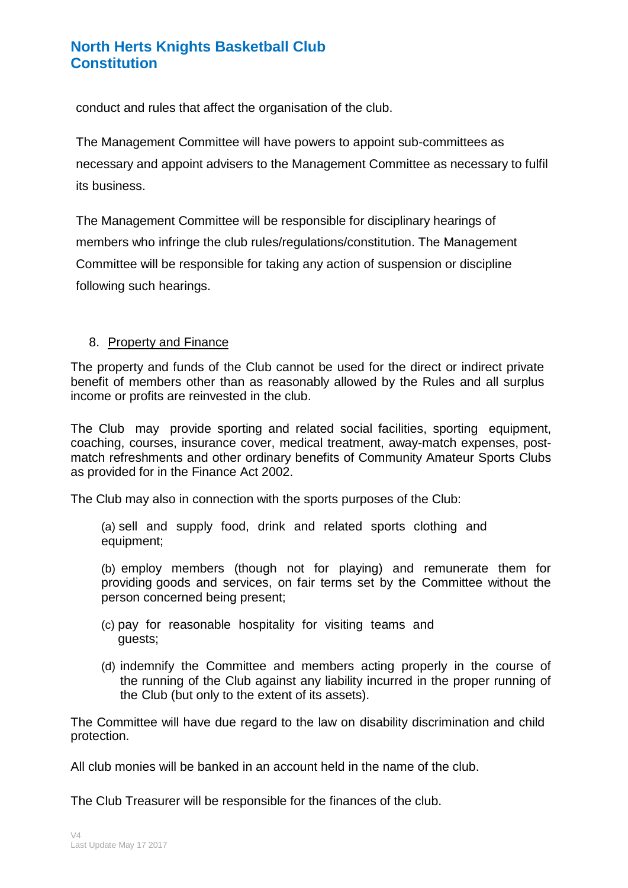conduct and rules that affect the organisation of the club.

The Management Committee will have powers to appoint sub-committees as necessary and appoint advisers to the Management Committee as necessary to fulfil its business.

The Management Committee will be responsible for disciplinary hearings of members who infringe the club rules/regulations/constitution. The Management Committee will be responsible for taking any action of suspension or discipline following such hearings.

### 8. Property and Finance

The property and funds of the Club cannot be used for the direct or indirect private benefit of members other than as reasonably allowed by the Rules and all surplus income or profits are reinvested in the club.

The Club may provide sporting and related social facilities, sporting equipment, coaching, courses, insurance cover, medical treatment, away-match expenses, postmatch refreshments and other ordinary benefits of Community Amateur Sports Clubs as provided for in the Finance Act 2002.

The Club may also in connection with the sports purposes of the Club:

(a) sell and supply food, drink and related sports clothing and equipment;

(b) employ members (though not for playing) and remunerate them for providing goods and services, on fair terms set by the Committee without the person concerned being present;

- (c) pay for reasonable hospitality for visiting teams and guests;
- (d) indemnify the Committee and members acting properly in the course of the running of the Club against any liability incurred in the proper running of the Club (but only to the extent of its assets).

The Committee will have due regard to the law on disability discrimination and child protection.

All club monies will be banked in an account held in the name of the club.

The Club Treasurer will be responsible for the finances of the club.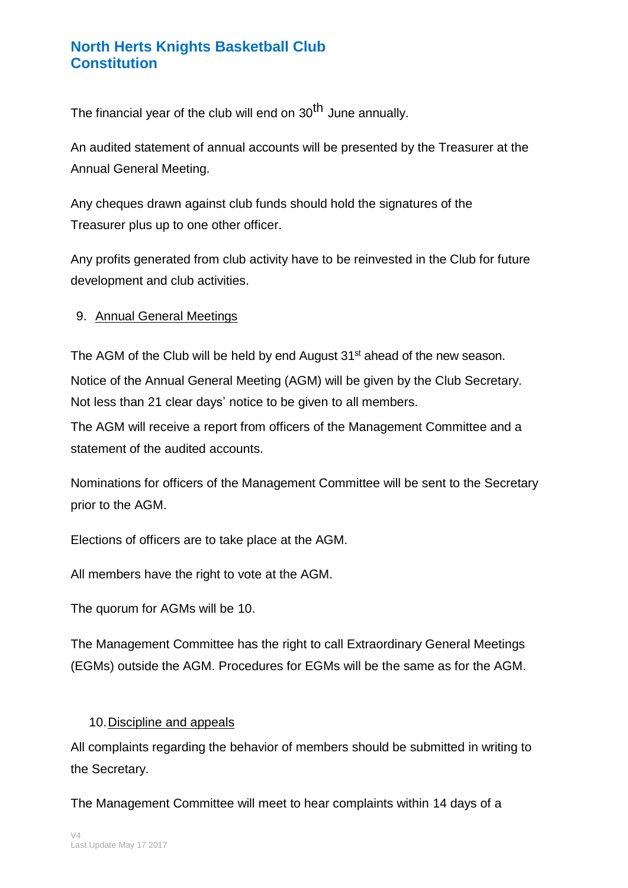The financial year of the club will end on 30<sup>th</sup> June annually.

An audited statement of annual accounts will be presented by the Treasurer at the Annual General Meeting.

Any cheques drawn against club funds should hold the signatures of the Treasurer plus up to one other officer.

Any profits generated from club activity have to be reinvested in the Club for future development and club activities.

## 9. Annual General Meetings

The AGM of the Club will be held by end August 31<sup>st</sup> ahead of the new season. Notice of the Annual General Meeting (AGM) will be given by the Club Secretary. Not less than 21 clear days' notice to be given to all members.

The AGM will receive a report from officers of the Management Committee and a statement of the audited accounts.

Nominations for officers of the Management Committee will be sent to the Secretary prior to the AGM.

Elections of officers are to take place at the AGM.

All members have the right to vote at the AGM.

The quorum for AGMs will be 10.

The Management Committee has the right to call Extraordinary General Meetings (EGMs) outside the AGM. Procedures for EGMs will be the same as for the AGM.

## 10. Discipline and appeals

All complaints regarding the behavior of members should be submitted in writing to the Secretary.

The Management Committee will meet to hear complaints within 14 days of a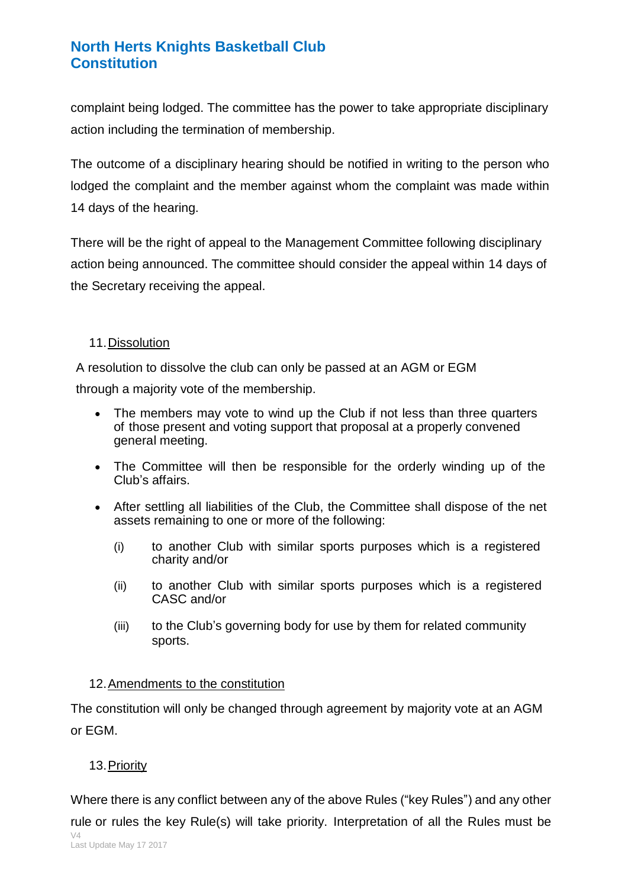complaint being lodged. The committee has the power to take appropriate disciplinary action including the termination of membership.

The outcome of a disciplinary hearing should be notified in writing to the person who lodged the complaint and the member against whom the complaint was made within 14 days of the hearing.

There will be the right of appeal to the Management Committee following disciplinary action being announced. The committee should consider the appeal within 14 days of the Secretary receiving the appeal.

#### 11. Dissolution

A resolution to dissolve the club can only be passed at an AGM or EGM

through a majority vote of the membership.

- The members may vote to wind up the Club if not less than three quarters of those present and voting support that proposal at a properly convened general meeting.
- The Committee will then be responsible for the orderly winding up of the Club's affairs.
- After settling all liabilities of the Club, the Committee shall dispose of the net assets remaining to one or more of the following:
	- (i) to another Club with similar sports purposes which is a registered charity and/or
	- (ii) to another Club with similar sports purposes which is a registered CASC and/or
	- (iii) to the Club's governing body for use by them for related community sports.

#### 12. Amendments to the constitution

The constitution will only be changed through agreement by majority vote at an AGM or EGM.

## 13.Priority

 $\sqrt{4}$ Last Update May 17 2017 Where there is any conflict between any of the above Rules ("key Rules") and any other rule or rules the key Rule(s) will take priority. Interpretation of all the Rules must be